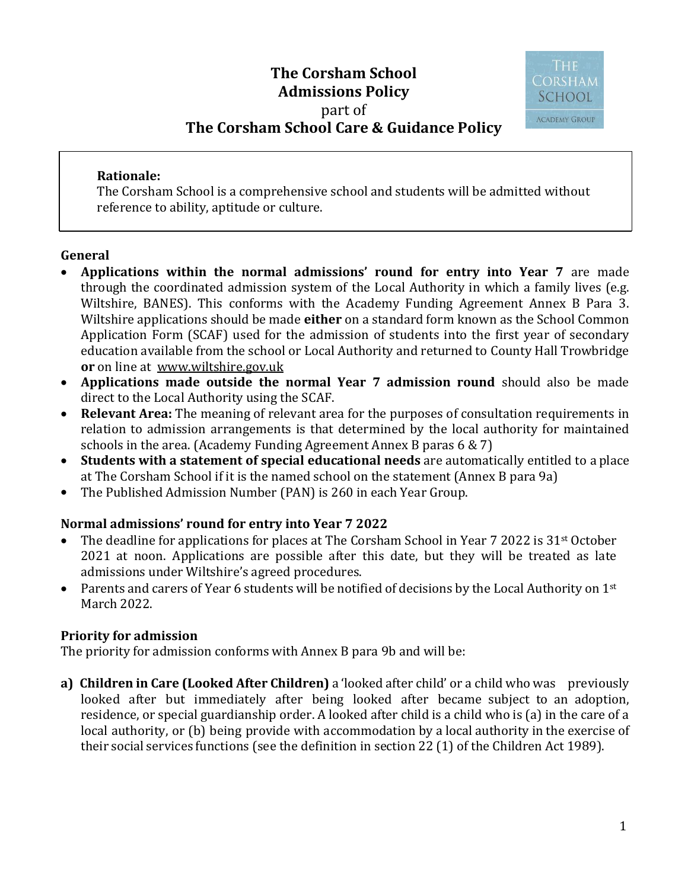# **The Corsham School Admissions Policy**  part of **The Corsham School Care & Guidance Policy**



#### **Rationale:**

The Corsham School is a comprehensive school and students will be admitted without reference to ability, aptitude or culture.

### **General**

- **Applications within the normal admissions' round for entry into Year 7** are made through the coordinated admission system of the Local Authority in which a family lives (e.g. Wiltshire, BANES). This conforms with the Academy Funding Agreement Annex B Para 3. Wiltshire applications should be made **either** on a standard form known as the School Common Application Form (SCAF) used for the admission of students into the first year of secondary education available from the school or Local Authority and returned to County Hall Trowbridge **or** on line at [www.wiltshire.gov.uk](http://www.wiltshire.gov.uk/)
- **Applications made outside the normal Year 7 admission round** should also be made direct to the Local Authority using the SCAF.
- **Relevant Area:** The meaning of relevant area for the purposes of consultation requirements in relation to admission arrangements is that determined by the local authority for maintained schools in the area. (Academy Funding Agreement Annex B paras 6 & 7)
- **Students with a statement of special educational needs** are automatically entitled to a place at The Corsham School if it is the named school on the statement (Annex B para 9a)
- The Published Admission Number (PAN) is 260 in each Year Group.

## **Normal admissions' round for entry into Year 7 2022**

- The deadline for applications for places at The Corsham School in Year 7 2022 is 31<sup>st</sup> October 2021 at noon. Applications are possible after this date, but they will be treated as late admissions under Wiltshire's agreed procedures.
- Parents and carers of Year 6 students will be notified of decisions by the Local Authority on  $1<sup>st</sup>$ March 2022.

### **Priority for admission**

The priority for admission conforms with Annex B para 9b and will be:

**a) Children in Care (Looked After Children)** a 'looked after child' or a child who was previously looked after but immediately after being looked after became subject to an adoption, residence, or special guardianship order. A looked after child is a child who is (a) in the care of a local authority, or (b) being provide with accommodation by a local authority in the exercise of their social services functions (see the definition in section 22 (1) of the Children Act 1989).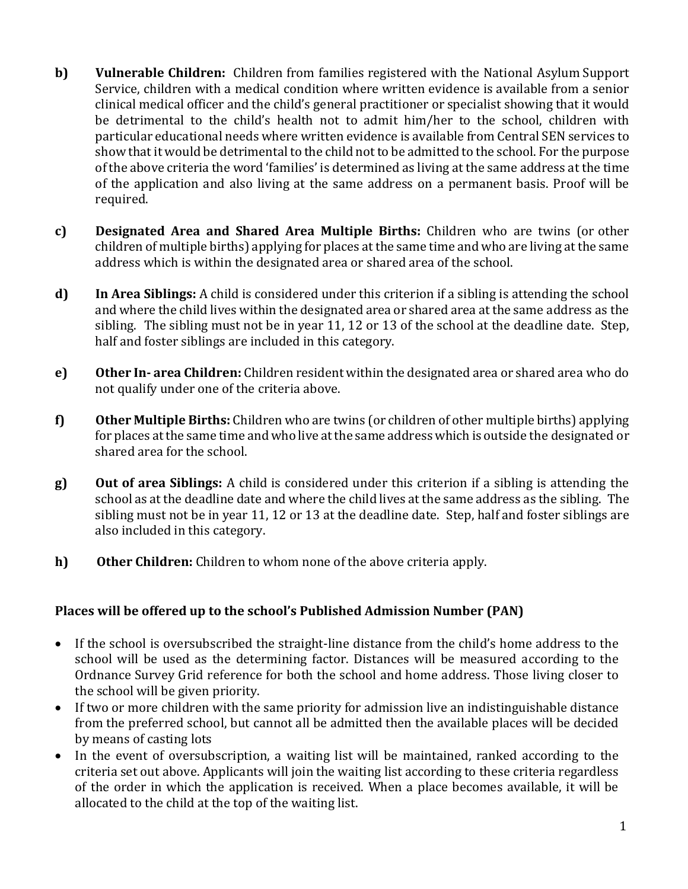- **b) Vulnerable Children:** Children from families registered with the National Asylum Support Service, children with a medical condition where written evidence is available from a senior clinical medical officer and the child's general practitioner or specialist showing that it would be detrimental to the child's health not to admit him/her to the school, children with particular educational needs where written evidence is available from Central SEN services to show that it would be detrimental to the child not to be admitted to the school. For the purpose of the above criteria the word 'families' is determined as living at the same address at the time of the application and also living at the same address on a permanent basis. Proof will be required.
- **c) Designated Area and Shared Area Multiple Births:** Children who are twins (or other children of multiple births) applying for places at the same time and who are living at the same address which is within the designated area or shared area of the school.
- **d) In Area Siblings:** A child is considered under this criterion if a sibling is attending the school and where the child lives within the designated area or shared area at the same address as the sibling. The sibling must not be in year 11, 12 or 13 of the school at the deadline date. Step, half and foster siblings are included in this category.
- **e) Other In- area Children:** Children resident within the designated area or shared area who do not qualify under one of the criteria above.
- **f) Other Multiple Births:** Children who are twins (or children of other multiple births) applying for places at the same time and who live at the same address which is outside the designated or shared area for the school.
- **g) Out of area Siblings:** A child is considered under this criterion if a sibling is attending the school as at the deadline date and where the child lives at the same address as the sibling. The sibling must not be in year 11, 12 or 13 at the deadline date. Step, half and foster siblings are also included in this category.
- **h) Other Children:** Children to whom none of the above criteria apply.

## **Places will be offered up to the school's Published Admission Number (PAN)**

- If the school is oversubscribed the straight-line distance from the child's home address to the school will be used as the determining factor. Distances will be measured according to the Ordnance Survey Grid reference for both the school and home address. Those living closer to the school will be given priority.
- If two or more children with the same priority for admission live an indistinguishable distance from the preferred school, but cannot all be admitted then the available places will be decided by means of casting lots
- In the event of oversubscription, a waiting list will be maintained, ranked according to the criteria set out above. Applicants will join the waiting list according to these criteria regardless of the order in which the application is received. When a place becomes available, it will be allocated to the child at the top of the waiting list.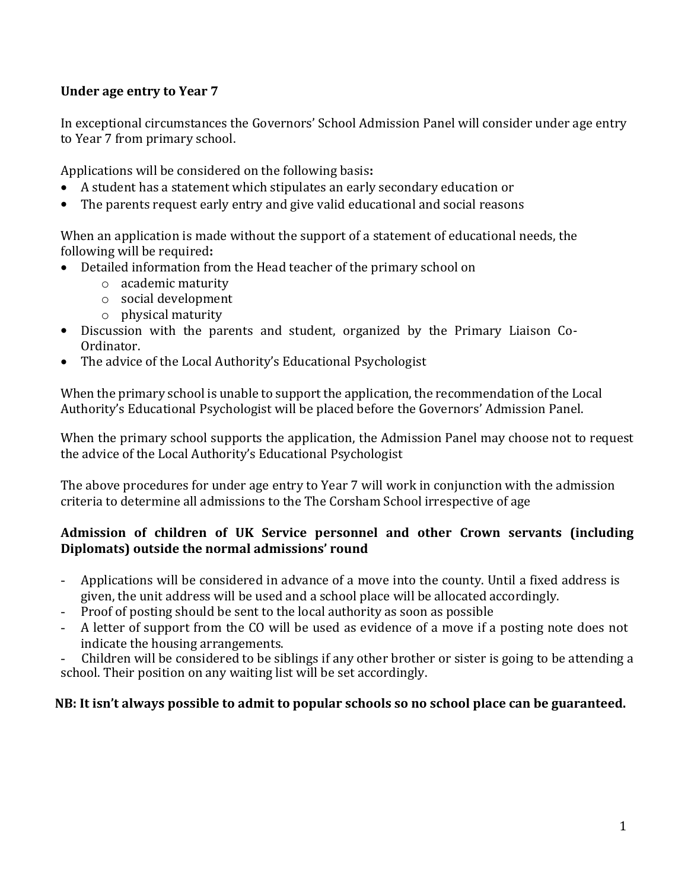## **Under age entry to Year 7**

In exceptional circumstances the Governors' School Admission Panel will consider under age entry to Year 7 from primary school.

Applications will be considered on the following basis**:**

- A student has a statement which stipulates an early secondary education or
- The parents request early entry and give valid educational and social reasons

When an application is made without the support of a statement of educational needs, the following will be required**:**

- Detailed information from the Head teacher of the primary school on
	- o academic maturity
	- o social development
	- o physical maturity
- Discussion with the parents and student, organized by the Primary Liaison Co-Ordinator.
- The advice of the Local Authority's Educational Psychologist

When the primary school is unable to support the application, the recommendation of the Local Authority's Educational Psychologist will be placed before the Governors' Admission Panel.

When the primary school supports the application, the Admission Panel may choose not to request the advice of the Local Authority's Educational Psychologist

The above procedures for under age entry to Year 7 will work in conjunction with the admission criteria to determine all admissions to the The Corsham School irrespective of age

### **Admission of children of UK Service personnel and other Crown servants (including Diplomats) outside the normal admissions' round**

- Applications will be considered in advance of a move into the county. Until a fixed address is given, the unit address will be used and a school place will be allocated accordingly.
- Proof of posting should be sent to the local authority as soon as possible
- A letter of support from the CO will be used as evidence of a move if a posting note does not indicate the housing arrangements.

- Children will be considered to be siblings if any other brother or sister is going to be attending a school. Their position on any waiting list will be set accordingly.

## **NB: It isn't always possible to admit to popular schools so no school place can be guaranteed.**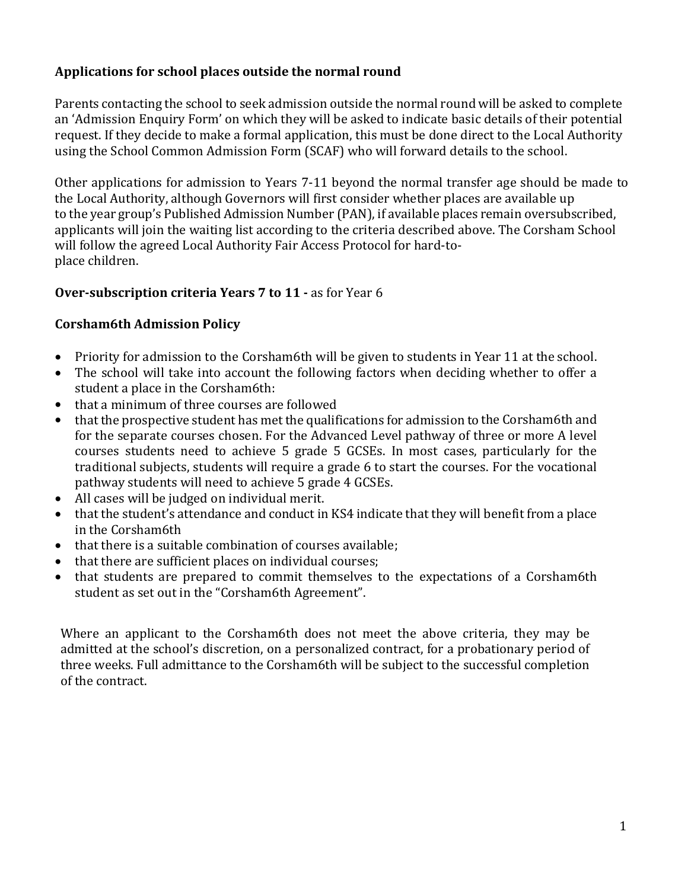## **Applications for school places outside the normal round**

Parents contacting the school to seek admission outside the normal round will be asked to complete an 'Admission Enquiry Form' on which they will be asked to indicate basic details of their potential request. If they decide to make a formal application, this must be done direct to the Local Authority using the School Common Admission Form (SCAF) who will forward details to the school.

Other applications for admission to Years 7-11 beyond the normal transfer age should be made to the Local Authority, although Governors will first consider whether places are available up to the year group's Published Admission Number (PAN), if available places remain oversubscribed, applicants will join the waiting list according to the criteria described above. The Corsham School will follow the agreed Local Authority Fair Access Protocol for hard-toplace children.

### **Over-subscription criteria Years 7 to 11 -** as for Year 6

### **Corsham6th Admission Policy**

- Priority for admission to the Corsham6th will be given to students in Year 11 at the school.
- The school will take into account the following factors when deciding whether to offer a student a place in the Corsham6th:
- that a minimum of three courses are followed
- that the prospective student has met the qualifications for admission to the Corsham6th and for the separate courses chosen. For the Advanced Level pathway of three or more A level courses students need to achieve 5 grade 5 GCSEs. In most cases, particularly for the traditional subjects, students will require a grade 6 to start the courses. For the vocational pathway students will need to achieve 5 grade 4 GCSEs.
- All cases will be judged on individual merit.
- that the student's attendance and conduct in KS4 indicate that they will benefit from a place in the Corsham6th
- that there is a suitable combination of courses available:
- that there are sufficient places on individual courses;
- that students are prepared to commit themselves to the expectations of a Corsham6th student as set out in the "Corsham6th Agreement".

Where an applicant to the Corsham6th does not meet the above criteria, they may be admitted at the school's discretion, on a personalized contract, for a probationary period of three weeks. Full admittance to the Corsham6th will be subject to the successful completion of the contract.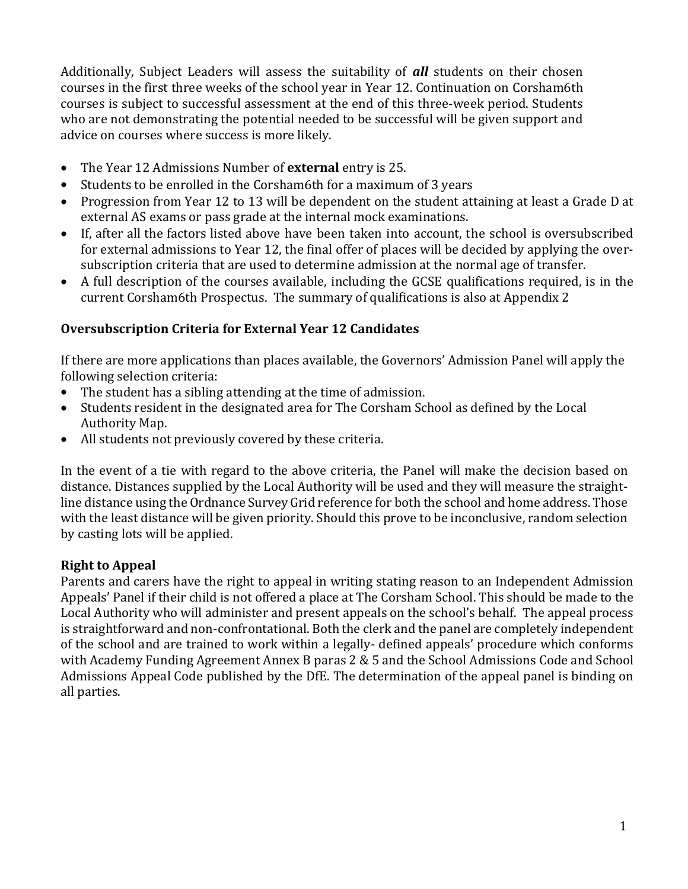Additionally, Subject Leaders will assess the suitability of *all* students on their chosen courses in the first three weeks of the school year in Year 12. Continuation on Corsham6th courses is subject to successful assessment at the end of this three-week period. Students who are not demonstrating the potential needed to be successful will be given support and advice on courses where success is more likely.

- The Year 12 Admissions Number of **external** entry is 25.
- Students to be enrolled in the Corsham6th for a maximum of 3 years
- Progression from Year 12 to 13 will be dependent on the student attaining at least a Grade D at external AS exams or pass grade at the internal mock examinations.
- If, after all the factors listed above have been taken into account, the school is oversubscribed for external admissions to Year 12, the final offer of places will be decided by applying the oversubscription criteria that are used to determine admission at the normal age of transfer.
- A full description of the courses available, including the GCSE qualifications required, is in the current Corsham6th Prospectus. The summary of qualifications is also at Appendix 2

## **Oversubscription Criteria for External Year 12 Candidates**

If there are more applications than places available, the Governors' Admission Panel will apply the following selection criteria:

- The student has a sibling attending at the time of admission.
- Students resident in the designated area for The Corsham School as defined by the Local Authority Map.
- All students not previously covered by these criteria.

In the event of a tie with regard to the above criteria, the Panel will make the decision based on distance. Distances supplied by the Local Authority will be used and they will measure the straightline distance using the Ordnance Survey Grid reference for both the school and home address. Those with the least distance will be given priority. Should this prove to be inconclusive, random selection by casting lots will be applied.

## **Right to Appeal**

Parents and carers have the right to appeal in writing stating reason to an Independent Admission Appeals' Panel if their child is not offered a place at The Corsham School. This should be made to the Local Authority who will administer and present appeals on the school's behalf. The appeal process is straightforward and non-confrontational. Both the clerk and the panel are completely independent of the school and are trained to work within a legally- defined appeals' procedure which conforms with Academy Funding Agreement Annex B paras 2 & 5 and the School Admissions Code and School Admissions Appeal Code published by the DfE. The determination of the appeal panel is binding on all parties.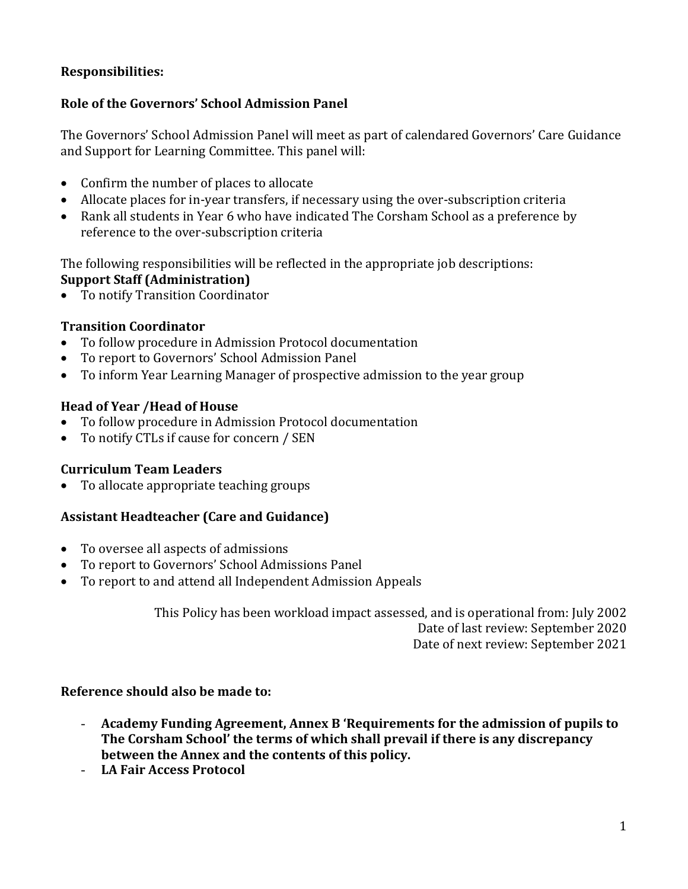## **Responsibilities:**

## **Role of the Governors' School Admission Panel**

The Governors' School Admission Panel will meet as part of calendared Governors' Care Guidance and Support for Learning Committee. This panel will:

- Confirm the number of places to allocate
- Allocate places for in-year transfers, if necessary using the over-subscription criteria
- Rank all students in Year 6 who have indicated The Corsham School as a preference by reference to the over-subscription criteria

The following responsibilities will be reflected in the appropriate job descriptions: **Support Staff (Administration)**

• To notify Transition Coordinator

## **Transition Coordinator**

- To follow procedure in Admission Protocol documentation
- To report to Governors' School Admission Panel
- To inform Year Learning Manager of prospective admission to the year group

### **Head of Year /Head of House**

- To follow procedure in Admission Protocol documentation
- To notify CTLs if cause for concern / SEN

### **Curriculum Team Leaders**

• To allocate appropriate teaching groups

### **Assistant Headteacher (Care and Guidance)**

- To oversee all aspects of admissions
- To report to Governors' School Admissions Panel
- To report to and attend all Independent Admission Appeals

This Policy has been workload impact assessed, and is operational from: July 2002 Date of last review: September 2020 Date of next review: September 2021

### **Reference should also be made to:**

- **Academy Funding Agreement, Annex B 'Requirements for the admission of pupils to The Corsham School' the terms of which shall prevail if there is any discrepancy between the Annex and the contents of this policy.**
- **LA Fair Access Protocol**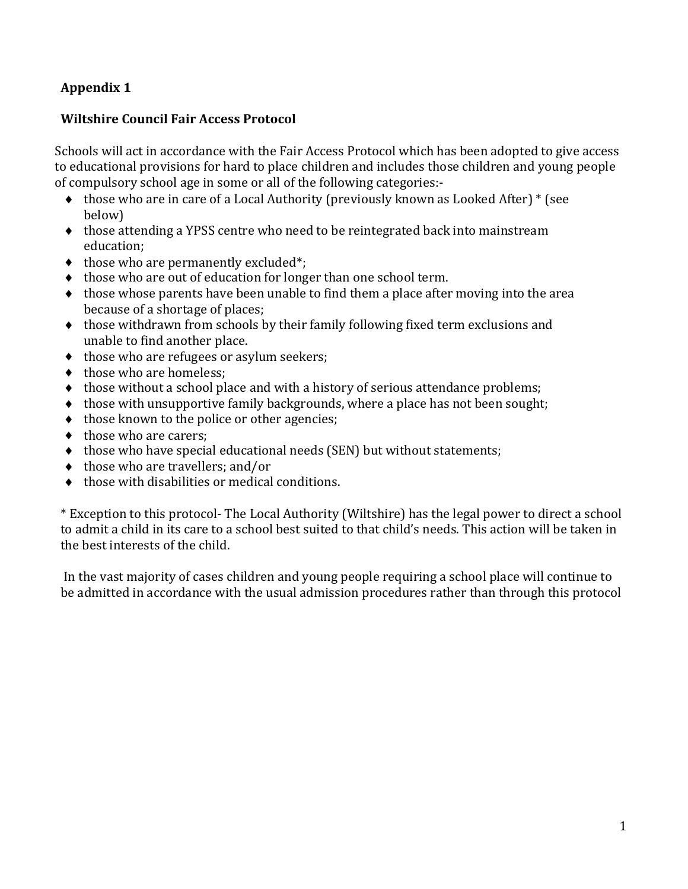## **Appendix 1**

### **Wiltshire Council Fair Access Protocol**

Schools will act in accordance with the Fair Access Protocol which has been adopted to give access to educational provisions for hard to place children and includes those children and young people of compulsory school age in some or all of the following categories:-

- those who are in care of a Local Authority (previously known as Looked After) \* (see below)
- $\bullet$  those attending a YPSS centre who need to be reintegrated back into mainstream education;
- $\bullet$  those who are permanently excluded\*;
- $\bullet$  those who are out of education for longer than one school term.
- $\bullet$  those whose parents have been unable to find them a place after moving into the area because of a shortage of places;
- those withdrawn from schools by their family following fixed term exclusions and unable to find another place.
- $\bullet$  those who are refugees or asylum seekers;
- $\bullet$  those who are homeless;
- $\bullet$  those without a school place and with a history of serious attendance problems;
- $\bullet$  those with unsupportive family backgrounds, where a place has not been sought;
- $\bullet$  those known to the police or other agencies;
- $\bullet$  those who are carers:
- $\bullet$  those who have special educational needs (SEN) but without statements;
- ◆ those who are travellers: and/or
- $\bullet$  those with disabilities or medical conditions.

\* Exception to this protocol- The Local Authority (Wiltshire) has the legal power to direct a school to admit a child in its care to a school best suited to that child's needs. This action will be taken in the best interests of the child.

In the vast majority of cases children and young people requiring a school place will continue to be admitted in accordance with the usual admission procedures rather than through this protocol